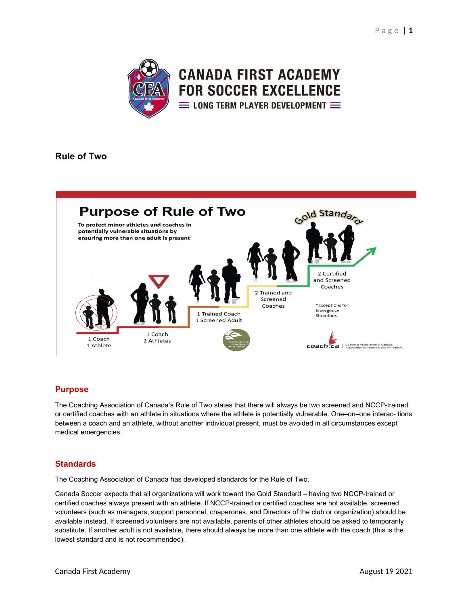

**CANADA FIRST ACADEMY FOR SOCCER EXCELLENCE**  $\equiv$  LONG TERM PLAYER DEVELOPMENT  $\equiv$ 

# **Rule of Two**



# **Purpose**

The Coaching Association of Canada's Rule of Two states that there will always be two screened and NCCP-trained or certified coaches with an athlete in situations where the athlete is potentially vulnerable. One–on–one interac- tions between a coach and an athlete, without another individual present, must be avoided in all circumstances except medical emergencies.

# **Standards**

The Coaching Association of Canada has developed standards for the Rule of Two.

Canada Soccer expects that all organizations will work toward the Gold Standard – having two NCCP-trained or certified coaches always present with an athlete. If NCCP-trained or certified coaches are not available, screened volunteers (such as managers, support personnel, chaperones, and Directors of the club or organization) should be available instead. If screened volunteers are not available, parents of other athletes should be asked to temporarily substitute. If another adult is not available, there should always be more than one athlete with the coach (this is the lowest standard and is not recommended).